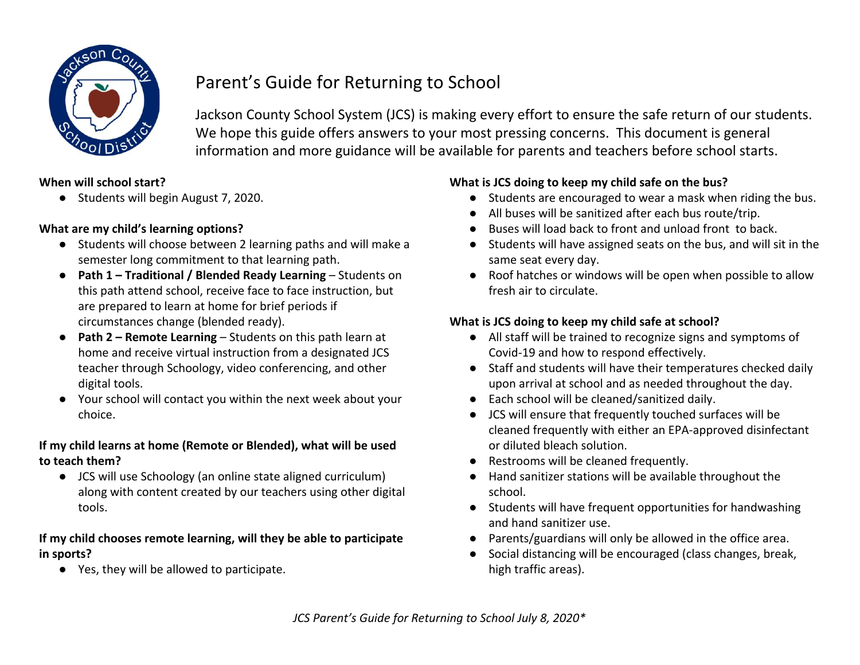

# Parent's Guide for Returning to School

Jackson County School System (JCS) is making every effort to ensure the safe return of our students. We hope this guide offers answers to your most pressing concerns. This document is general information and more guidance will be available for parents and teachers before school starts.

#### **When will school start?**

● Students will begin August 7, 2020.

#### **What are my child's learning options?**

- Students will choose between 2 learning paths and will make a semester long commitment to that learning path.
- **Path 1 Traditional / Blended Ready Learning** Students on this path attend school, receive face to face instruction, but are prepared to learn at home for brief periods if circumstances change (blended ready).
- **Path 2 Remote Learning** Students on this path learn at home and receive virtual instruction from a designated JCS teacher through Schoology, video conferencing, and other digital tools.
- Your school will contact you within the next week about your choice.

# **If my child learns at home (Remote or Blended), what will be used to teach them?**

● JCS will use Schoology (an online state aligned curriculum) along with content created by our teachers using other digital tools.

# **If my child chooses remote learning, will they be able to participate in sports?**

● Yes, they will be allowed to participate.

# **What is JCS doing to keep my child safe on the bus?**

- Students are encouraged to wear a mask when riding the bus.
- All buses will be sanitized after each bus route/trip.
- Buses will load back to front and unload front to back.
- Students will have assigned seats on the bus, and will sit in the same seat every day.
- Roof hatches or windows will be open when possible to allow fresh air to circulate.

# **What is JCS doing to keep my child safe at school?**

- All staff will be trained to recognize signs and symptoms of Covid-19 and how to respond effectively.
- Staff and students will have their temperatures checked daily upon arrival at school and as needed throughout the day.
- Each school will be cleaned/sanitized daily.
- JCS will ensure that frequently touched surfaces will be cleaned frequently with either an EPA-approved disinfectant or diluted bleach solution.
- Restrooms will be cleaned frequently.
- Hand sanitizer stations will be available throughout the school.
- Students will have frequent opportunities for handwashing and hand sanitizer use.
- Parents/guardians will only be allowed in the office area.
- Social distancing will be encouraged (class changes, break, high traffic areas).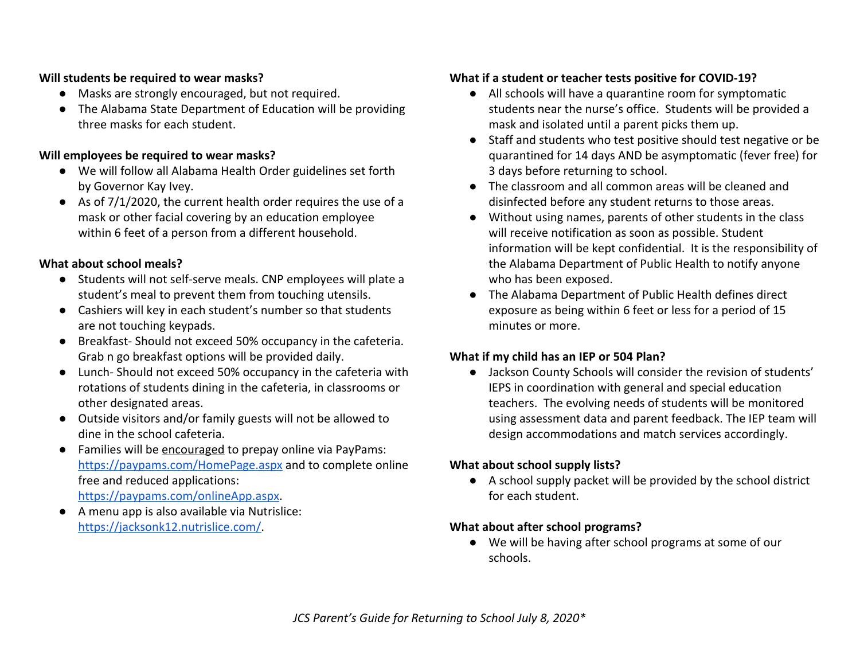#### **Will students be required to wear masks?**

- Masks are strongly encouraged, but not required.
- The Alabama State Department of Education will be providing three masks for each student.

#### **Will employees be required to wear masks?**

- We will follow all Alabama Health Order guidelines set forth by Governor Kay Ivey.
- As of 7/1/2020, the current health order requires the use of a mask or other facial covering by an education employee within 6 feet of a person from a different household.

# **What about school meals?**

- Students will not self-serve meals. CNP employees will plate a student's meal to prevent them from touching utensils.
- Cashiers will key in each student's number so that students are not touching keypads.
- Breakfast- Should not exceed 50% occupancy in the cafeteria. Grab n go breakfast options will be provided daily.
- Lunch- Should not exceed 50% occupancy in the cafeteria with rotations of students dining in the cafeteria, in classrooms or other designated areas.
- Outside visitors and/or family guests will not be allowed to dine in the school cafeteria.
- Families will be encouraged to prepay online via PayPams: <https://paypams.com/HomePage.aspx> and to complete online free and reduced applications[:](https://paypams.com/onlineApp.aspx) <https://paypams.com/onlineApp.aspx>.
- A menu app is also available via Nutrislice: [https://jacksonk12.nutrislice.com/.](https://jacksonk12.nutrislice.com/)

# **What if a student or teacher tests positive for COVID-19?**

- All schools will have a quarantine room for symptomatic students near the nurse's office. Students will be provided a mask and isolated until a parent picks them up.
- Staff and students who test positive should test negative or be quarantined for 14 days AND be asymptomatic (fever free) for 3 days before returning to school.
- The classroom and all common areas will be cleaned and disinfected before any student returns to those areas.
- Without using names, parents of other students in the class will receive notification as soon as possible. Student information will be kept confidential. It is the responsibility of the Alabama Department of Public Health to notify anyone who has been exposed.
- The Alabama Department of Public Health defines direct exposure as being within 6 feet or less for a period of 15 minutes or more.

# **What if my child has an IEP or 504 Plan?**

● Jackson County Schools will consider the revision of students' IEPS in coordination with general and special education teachers. The evolving needs of students will be monitored using assessment data and parent feedback. The IEP team will design accommodations and match services accordingly.

#### **What about school supply lists?**

● A school supply packet will be provided by the school district for each student.

# **What about after school programs?**

● We will be having after school programs at some of our schools.